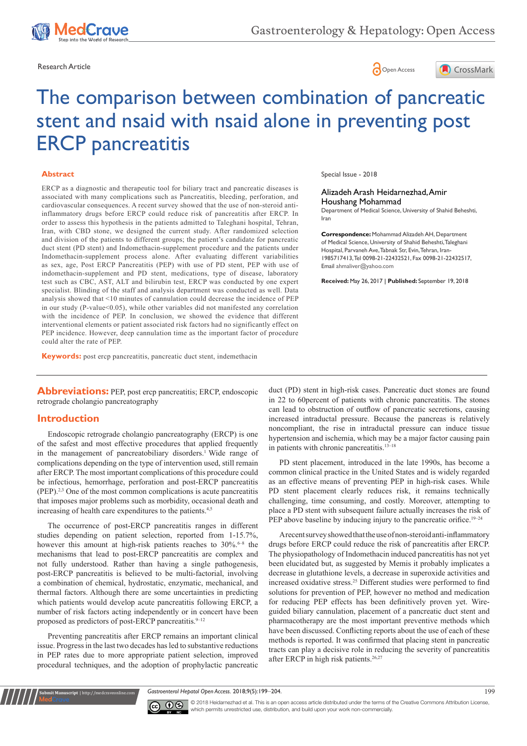





# The comparison between combination of pancreatic stent and nsaid with nsaid alone in preventing post ERCP pancreatitis

#### **Abstract**

ERCP as a diagnostic and therapeutic tool for biliary tract and pancreatic diseases is associated with many complications such as Pancreatitis, bleeding, perforation, and cardiovascular consequences. A recent survey showed that the use of non-steroid antiinflammatory drugs before ERCP could reduce risk of pancreatitis after ERCP. In order to assess this hypothesis in the patients admitted to Taleghani hospital, Tehran, Iran, with CBD stone, we designed the current study. After randomized selection and division of the patients to different groups; the patient's candidate for pancreatic duct stent (PD stent) and Indomethacin-supplement procedure and the patients under Indomethacin-supplement process alone. After evaluating different variabilities as sex, age, Post ERCP Pancreatitis (PEP) with use of PD stent, PEP with use of indomethacin-supplement and PD stent, medications, type of disease, laboratory test such as CBC, AST, ALT and bilirubin test, ERCP was conducted by one expert specialist. Blinding of the staff and analysis department was conducted as well. Data analysis showed that <10 minutes of cannulation could decrease the incidence of PEP in our study (P-value<0.05), while other variables did not manifested any correlation with the incidence of PEP. In conclusion, we showed the evidence that different interventional elements or patient associated risk factors had no significantly effect on PEP incidence. However, deep cannulation time as the important factor of procedure could alter the rate of PEP.

**Keywords:** post ercp pancreatitis, pancreatic duct stent, indemethacin

**Abbreviations:** PEP, post ercp pancreatitis; ERCP, endoscopic retrograde cholangio pancreatography

#### **Introduction**

Endoscopic retrograde cholangio pancreatography (ERCP) is one of the safest and most effective procedures that applied frequently in the management of pancreatobiliary disorders.<sup>1</sup> Wide range of complications depending on the type of intervention used, still remain after ERCP. The most important complications of this procedure could be infectious, hemorrhage, perforation and post-ERCP pancreatitis (PEP).2,3 One of the most common complications is acute pancreatitis that imposes major problems such as morbidity, occasional death and increasing of health care expenditures to the patients.<sup>4,5</sup>

The occurrence of post-ERCP pancreatitis ranges in different studies depending on patient selection, reported from 1-15.7%, however this amount at high-risk patients reaches to 30%.<sup>6-8</sup> the mechanisms that lead to post-ERCP pancreatitis are complex and not fully understood. Rather than having a single pathogenesis, post-ERCP pancreatitis is believed to be multi-factorial, involving a combination of chemical, hydrostatic, enzymatic, mechanical, and thermal factors. Although there are some uncertainties in predicting which patients would develop acute pancreatitis following ERCP, a number of risk factors acting independently or in concert have been proposed as predictors of post-ERCP pancreatitis. $9-12$ 

Preventing pancreatitis after ERCP remains an important clinical issue. Progress in the last two decades has led to substantive reductions in PEP rates due to more appropriate patient selection, improved procedural techniques, and the adoption of prophylactic pancreatic

**it Manuscript** | http://medcraveonline.c

Special Issue - 2018

Alizadeh Arash Heidarnezhad, Amir Houshang Mohammad

Department of Medical Science, University of Shahid Beheshti, Iran

**Correspondence:** Mohammad Alizadeh AH, Department of Medical Science, University of Shahid Beheshti, Taleghani Hospital, Parvaneh Ave, Tabnak Str, Evin, Tehran, Iran-1985717413, Tel 0098-21-22432521, Fax 0098-21-22432517, Email ahmaliver@yahoo.com

**Received:** May 26, 2017 | **Published:** September 19, 2018

duct (PD) stent in high-risk cases. Pancreatic duct stones are found in 22 to 60percent of patients with chronic pancreatitis. The stones can lead to obstruction of outflow of pancreatic secretions, causing increased intraductal pressure. Because the pancreas is relatively noncompliant, the rise in intraductal pressure can induce tissue hypertension and ischemia, which may be a major factor causing pain in patients with chronic pancreatitis.<sup>13-18</sup>

PD stent placement, introduced in the late 1990s, has become a common clinical practice in the United States and is widely regarded as an effective means of preventing PEP in high-risk cases. While PD stent placement clearly reduces risk, it remains technically challenging, time consuming, and costly. Moreover, attempting to place a PD stent with subsequent failure actually increases the risk of PEP above baseline by inducing injury to the pancreatic orifice.<sup>19–24</sup>

A recent survey showed that the use of non-steroid anti-inflammatory drugs before ERCP could reduce the risk of pancreatitis after ERCP. The physiopathology of Indomethacin induced pancreatitis has not yet been elucidated but, as suggested by Memis it probably implicates a decrease in glutathione levels, a decrease in superoxide activities and increased oxidative stress.25 Different studies were performed to find solutions for prevention of PEP, however no method and medication for reducing PEP effects has been definitively proven yet. Wireguided biliary cannulation, placement of a pancreatic duct stent and pharmacotherapy are the most important preventive methods which have been discussed. Conflicting reports about the use of each of these methods is reported. It was confirmed that placing stent in pancreatic tracts can play a decisive role in reducing the severity of pancreatitis after ERCP in high risk patients.<sup>26,27</sup>

Gastroenterol Hepatol Open Access. 2018;9(5):199–204. 199



© 2018 Heidarnezhad et al. This is an open access article distributed under the terms of the [Creative Commons Attribution License](https://creativecommons.org/licenses/by-nc/4.0/), which permits unrestricted use, distribution, and build upon your work non-commercially.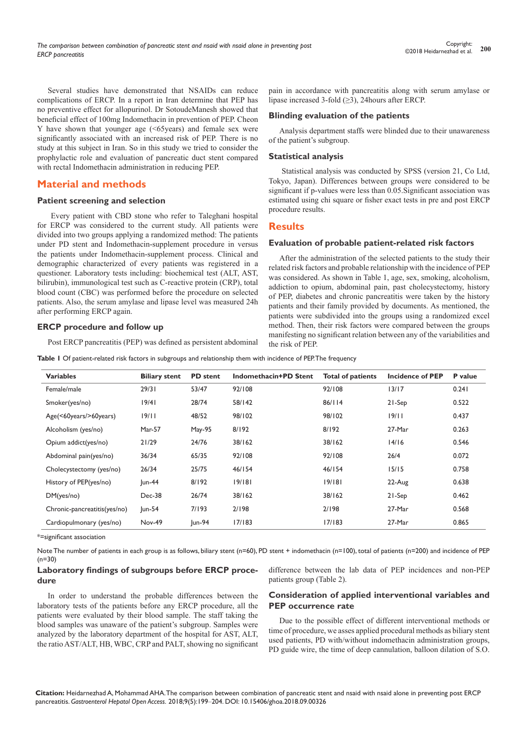Several studies have demonstrated that NSAIDs can reduce complications of ERCP. In a report in Iran determine that PEP has no preventive effect for allopurinol. Dr SotoudeManesh showed that beneficial effect of 100mg Indomethacin in prevention of PEP. Cheon Y have shown that younger age (<65years) and female sex were significantly associated with an increased risk of PEP. There is no study at this subject in Iran. So in this study we tried to consider the prophylactic role and evaluation of pancreatic duct stent compared with rectal Indomethacin administration in reducing PEP.

# **Material and methods**

#### **Patient screening and selection**

 Every patient with CBD stone who refer to Taleghani hospital for ERCP was considered to the current study. All patients were divided into two groups applying a randomized method: The patients under PD stent and Indomethacin-supplement procedure in versus the patients under Indomethacin-supplement process. Clinical and demographic characterized of every patients was registered in a questioner. Laboratory tests including: biochemical test (ALT, AST, bilirubin), immunological test such as C-reactive protein (CRP), total blood count (CBC) was performed before the procedure on selected patients. Also, the serum amylase and lipase level was measured 24h after performing ERCP again.

#### **ERCP procedure and follow up**

Post ERCP pancreatitis (PEP) was defined as persistent abdominal

**Table 1** Of patient-related risk factors in subgroups and relationship them with incidence of PEP. The frequency

| pain in accordance with pancreatitis along with serum amylase or |  |  |  |  |  |  |  |
|------------------------------------------------------------------|--|--|--|--|--|--|--|
| lipase increased 3-fold $(\geq)$ , 24 hours after ERCP.          |  |  |  |  |  |  |  |

#### **Blinding evaluation of the patients**

Analysis department staffs were blinded due to their unawareness of the patient's subgroup.

#### **Statistical analysis**

 Statistical analysis was conducted by SPSS (version 21, Co Ltd, Tokyo, Japan). Differences between groups were considered to be significant if p-values were less than 0.05.Significant association was estimated using chi square or fisher exact tests in pre and post ERCP procedure results.

## **Results**

#### **Evaluation of probable patient-related risk factors**

After the administration of the selected patients to the study their related risk factors and probable relationship with the incidence of PEP was considered. As shown in Table 1, age, sex, smoking, alcoholism, addiction to opium, abdominal pain, past cholecystectomy, history of PEP, diabetes and chronic pancreatitis were taken by the history patients and their family provided by documents. As mentioned, the patients were subdivided into the groups using a randomized excel method. Then, their risk factors were compared between the groups manifesting no significant relation between any of the variabilities and the risk of PEP.

| <b>Variables</b>             | <b>Biliary stent</b> | <b>PD</b> stent | Indomethacin+PD Stent | <b>Total of patients</b> | <b>Incidence of PEP</b> | P value |
|------------------------------|----------------------|-----------------|-----------------------|--------------------------|-------------------------|---------|
| Female/male                  | 29/31                | 53/47           | 92/108                | 92/108                   | 13/17                   | 0.241   |
| Smoker(yes/no)               | 19/41                | 28/74           | 58/142                | 86/114                   | 21-Sep                  | 0.522   |
| Age(<60years/>60years)       | 19/11                | 48/52           | 98/102                | 98/102                   | 19/11                   | 0.437   |
| Alcoholism (yes/no)          | <b>Mar-57</b>        | May-95          | 8/192                 | 8/192                    | 27-Mar                  | 0.263   |
| Opium addict(yes/no)         | 21/29                | 24/76           | 38/162                | 38/162                   | 14/16                   | 0.546   |
| Abdominal pain(yes/no)       | 36/34                | 65/35           | 92/108                | 92/108                   | 26/4                    | 0.072   |
| Cholecystectomy (yes/no)     | 26/34                | 25/75           | 46/154                | 46/154                   | 15/15                   | 0.758   |
| History of PEP(yes/no)       | $ un-44 $            | 8/192           | 19/181                | 19/181                   | 22-Aug                  | 0.638   |
| DM(yes/no)                   | $Dec-38$             | 26/74           | 38/162                | 38/162                   | 21-Sep                  | 0.462   |
| Chronic-pancreatitis(yes/no) | $ un-54 $            | 7/193           | 2/198                 | 2/198                    | 27-Mar                  | 0.568   |
| Cardiopulmonary (yes/no)     | Nov-49               | $ un-94 $       | 17/183                | 17/183                   | 27-Mar                  | 0.865   |

\*=significant association

Note The number of patients in each group is as follows, biliary stent (n=60), PD stent + indomethacin (n=100), total of patients (n=200) and incidence of PEP  $(n=30)$ 

#### **Laboratory findings of subgroups before ERCP procedure**

difference between the lab data of PEP incidences and non-PEP patients group (Table 2).

In order to understand the probable differences between the laboratory tests of the patients before any ERCP procedure, all the patients were evaluated by their blood sample. The staff taking the blood samples was unaware of the patient's subgroup. Samples were analyzed by the laboratory department of the hospital for AST, ALT, the ratio AST/ALT, HB, WBC, CRP and PALT, showing no significant

## **Consideration of applied interventional variables and PEP occurrence rate**

Due to the possible effect of different interventional methods or time of procedure, we asses applied procedural methods as biliary stent used patients, PD with/without indomethacin administration groups, PD guide wire, the time of deep cannulation, balloon dilation of S.O.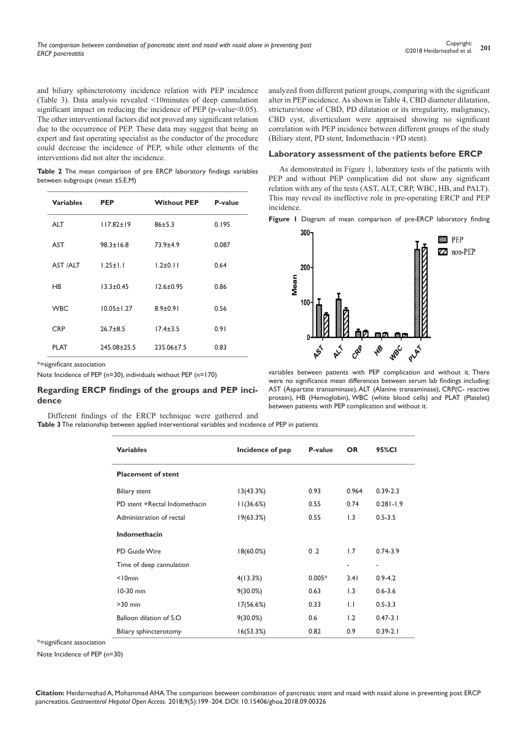and biliary sphincterotomy incidence relation with PEP incidence (Table 3). Data analysis revealed <10minutes of deep cannulation significant impact on reducing the incidence of PEP (p-value < 0.05). The other interventional factors did not proved any significant relation due to the occurrence of PEP. These data may suggest that being an expert and fast operating specialist as the conductor of the procedure could decrease the incidence of PEP, while other elements of the interventions did not alter the incidence.

**Table 2** The mean comparison of pre ERCP laboratory findings variables between subgroups (mean ±S.E.M)

| <b>Variables</b> | <b>PEP</b>       | <b>Without PEP</b> | P-value |  |
|------------------|------------------|--------------------|---------|--|
| <b>ALT</b>       | $117.82 \pm 19$  | 86±5.3             | 0.195   |  |
| AST              | $98.3 \pm 16.8$  | $73.9 + 4.9$       | 0.087   |  |
| AST /ALT         | $1.25 \pm 1.1$   | $1.2 \pm 0.11$     | 0.64    |  |
| HB               | $13.3 \pm 0.45$  | $12.6 \pm 0.95$    | 0.86    |  |
| <b>WBC</b>       | $10.05 \pm 1.27$ | $8.9 \pm 0.91$     | 0.56    |  |
| <b>CRP</b>       | $26.7 + 8.5$     | $17.4 \pm 3.5$     | 0.91    |  |
| <b>PLAT</b>      | 245.08±25.5      | $235.06 \pm 7.5$   | 0.83    |  |

\*=significant association

Note Incidence of PEP (n=30), individuals without PEP (n=170)

#### **Regarding ERCP findings of the groups and PEP incidence**

Different findings of the ERCP technique were gathered and **Table 3** The relationship between applied interventional variables and incidence of PEP in patients

analyzed from different patient groups, comparing with the significant alter in PEP incidence. As shown in Table 4, CBD diameter dilatation, stricture/stone of CBD, PD dilatation or its irregularity, malignancy, CBD cyst, diverticulum were appraised showing no significant correlation with PEP incidence between different groups of the study (Biliary stent, PD stent, Indomethacin +PD stent).

#### **Laboratory assessment of the patients before ERCP**

As demonstrated in Figure 1, laboratory tests of the patients with PEP and without PEP complication did not show any significant relation with any of the tests (AST, ALT, CRP, WBC, HB, and PALT). This may reveal its ineffective role in pre-operating ERCP and PEP incidence.

**Figure 1** Diagram of mean comparison of pre-ERCP laboratory finding



variables between patients with PEP complication and without it. There were no significance mean differences between serum lab findings including: AST (Aspartate transaminase), ALT (Alanine transaminase), CRP(C- reactive protein), HB (Hemoglobin), WBC (white blood cells) and PLAT (Platelet) between patients with PEP complication and without it.

| <b>Variables</b>              | Incidence of pep | P-value  | <b>OR</b>    | 95%CI         |
|-------------------------------|------------------|----------|--------------|---------------|
| <b>Placement of stent</b>     |                  |          |              |               |
| <b>Biliary stent</b>          | 13(43.3%)        | 0.93     | 0.964        | $0.39 - 2.3$  |
| PD stent +Rectal Indomethacin | 11(36.6%)        | 0.55     | 0.74         | $0.281 - 1.9$ |
| Administration of rectal      | 19(63.3%)        | 0.55     | 1.3          | $0.5 - 3.5$   |
| Indomethacin                  |                  |          |              |               |
| PD Guide Wire                 | $18(60.0\%)$     | 0.2      | 1.7          | $0.74 - 3.9$  |
| Time of deep cannulation      |                  |          | ٠            | ٠             |
| $<$ 10 $min$                  | 4(13.3%)         | $0.005*$ | 3.41         | $0.9 - 4.2$   |
| $10-30$ min                   | $9(30.0\%)$      | 0.63     | 1.3          | $0.6 - 3.6$   |
| $>30$ min                     | 17(56.6%)        | 0.33     | $\mathsf{L}$ | $0.5 - 3.3$   |
| Balloon dilation of S.O.      | $9(30.0\%)$      | 0.6      | 1.2          | $0.47 - 3.1$  |
| Biliary sphincterotomy        | 16(53.3%)        | 0.82     | 0.9          | $0.39 - 2.1$  |

\*=significant association

Note Incidence of PEP (n=30)

**Citation:** Heidarnezhad A, Mohammad AHA. The comparison between combination of pancreatic stent and nsaid with nsaid alone in preventing post ERCP pancreatitis. *Gastroenterol Hepatol Open Access.* 2018;9(5):199‒204. DOI: [10.15406/ghoa.2018.09.00326](https://doi.org/10.15406/ghoa.2018.09.00326)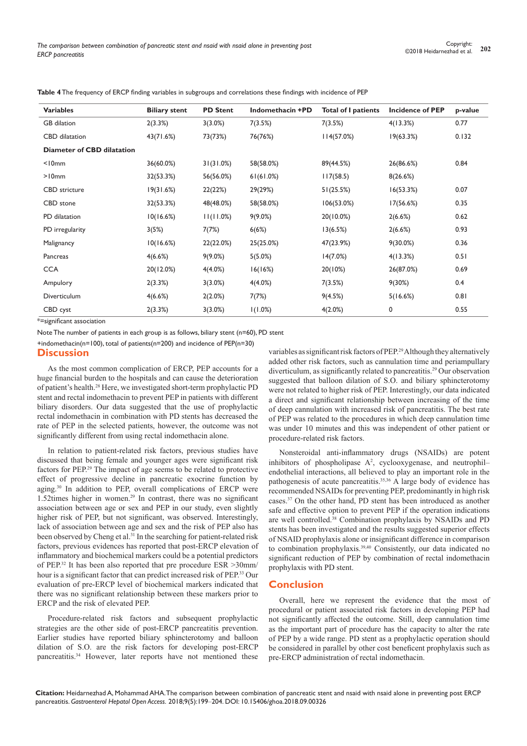| <b>Variables</b>                  | <b>Biliary stent</b> | <b>PD Stent</b> | Indomethacin +PD | <b>Total of I patients</b> | <b>Incidence of PEP</b> | p-value |
|-----------------------------------|----------------------|-----------------|------------------|----------------------------|-------------------------|---------|
| <b>GB</b> dilation                | 2(3.3%)              | 3(3.0%)         | 7(3.5%)          | 7(3.5%)                    | 4(13.3%)                | 0.77    |
| CBD dilatation                    | 43(71.6%)            | 73(73%)         | 76(76%)          | 114(57.0%)                 | 19(63.3%)               | 0.132   |
| <b>Diameter of CBD dilatation</b> |                      |                 |                  |                            |                         |         |
| $<$ 10 $mm$                       | 36(60.0%)            | 31(31.0%)       | 58(58.0%)        | 89(44.5%)                  | 26(86.6%)               | 0.84    |
| $>10$ mm                          | 32(53.3%)            | 56(56.0%)       | 61(61.0%)        | 117(58.5)                  | 8(26.6%)                |         |
| <b>CBD</b> stricture              | 19(31.6%)            | 22(22%)         | 29(29%)          | 51(25.5%)                  | 16(53.3%)               | 0.07    |
| CBD stone                         | 32(53.3%)            | 48(48.0%)       | 58(58.0%)        | 106(53.0%)                 | 17(56.6%)               | 0.35    |
| PD dilatation                     | 10(16.6%)            | 11(11.0%)       | $9(9.0\%)$       | 20(10.0%)                  | 2(6.6%)                 | 0.62    |
| PD irregularity                   | 3(5%)                | 7(7%)           | 6(6%)            | 13(6.5%)                   | 2(6.6%)                 | 0.93    |
| Malignancy                        | 10(16.6%)            | 22(22.0%)       | 25(25.0%)        | 47(23.9%)                  | $9(30.0\%)$             | 0.36    |
| Pancreas                          | 4(6.6%)              | $9(9.0\%)$      | 5(5.0%)          | 14(7.0%)                   | 4(13.3%)                | 0.51    |
| <b>CCA</b>                        | 20(12.0%)            | 4(4.0%)         | 16(16%)          | 20(10%)                    | 26(87.0%)               | 0.69    |
| Ampulory                          | 2(3.3%)              | 3(3.0%)         | 4(4.0%)          | 7(3.5%)                    | 9(30%)                  | 0.4     |
| Diverticulum                      | 4(6.6%)              | 2(2.0%)         | 7(7%)            | 9(4.5%)                    | 5(16.6%)                | 0.81    |
| CBD cyst                          | 2(3.3%)              | 3(3.0%)         | 1(1.0%)          | 4(2.0%)                    | 0                       | 0.55    |
|                                   |                      |                 |                  |                            |                         |         |

**Table 4** The frequency of ERCP finding variables in subgroups and correlations these findings with incidence of PEP

\*=significant association

Note The number of patients in each group is as follows, biliary stent (n=60), PD stent

+indomethacin(n=100), total of patients(n=200) and incidence of PEP(n=30)

# **Discussion**

As the most common complication of ERCP, PEP accounts for a huge financial burden to the hospitals and can cause the deterioration of patient's health.<sup>28</sup> Here, we investigated short-term prophylactic PD stent and rectal indomethacin to prevent PEP in patients with different biliary disorders. Our data suggested that the use of prophylactic rectal indomethacin in combination with PD stents has decreased the rate of PEP in the selected patients, however, the outcome was not significantly different from using rectal indomethacin alone.

In relation to patient-related risk factors, previous studies have discussed that being female and younger ages were significant risk factors for PEP.29 The impact of age seems to be related to protective effect of progressive decline in pancreatic exocrine function by aging.30 In addition to PEP, overall complications of ERCP were 1.52times higher in women.29 In contrast, there was no significant association between age or sex and PEP in our study, even slightly higher risk of PEP, but not significant, was observed. Interestingly, lack of association between age and sex and the risk of PEP also has been observed by Cheng et al.<sup>31</sup> In the searching for patient-related risk factors, previous evidences has reported that post-ERCP elevation of inflammatory and biochemical markers could be a potential predictors of PEP.32 It has been also reported that pre procedure ESR >30mm/ hour is a significant factor that can predict increased risk of PEP.33 Our evaluation of pre-ERCP level of biochemical markers indicated that there was no significant relationship between these markers prior to ERCP and the risk of elevated PEP.

Procedure-related risk factors and subsequent prophylactic strategies are the other side of post-ERCP pancreatitis prevention. Earlier studies have reported biliary sphincterotomy and balloon dilation of S.O. are the risk factors for developing post-ERCP pancreatitis.<sup>34</sup> However, later reports have not mentioned these

variables as significant risk factors of PEP.29 Although they alternatively added other risk factors, such as cannulation time and periampullary diverticulum, as significantly related to pancreatitis.29 Our observation suggested that balloon dilation of S.O. and biliary sphincterotomy were not related to higher risk of PEP. Interestingly, our data indicated a direct and significant relationship between increasing of the time of deep cannulation with increased risk of pancreatitis. The best rate of PEP was related to the procedures in which deep cannulation time was under 10 minutes and this was independent of other patient or procedure-related risk factors.

Nonsteroidal anti-inflammatory drugs (NSAIDs) are potent inhibitors of phospholipase  $A^2$ , cyclooxygenase, and neutrophilendothelial interactions, all believed to play an important role in the pathogenesis of acute pancreatitis.<sup>35,36</sup> A large body of evidence has recommended NSAIDs for preventing PEP, predominantly in high risk cases.37 On the other hand, PD stent has been introduced as another safe and effective option to prevent PEP if the operation indications are well controlled.<sup>38</sup> Combination prophylaxis by NSAIDs and PD stents has been investigated and the results suggested superior effects of NSAID prophylaxis alone or insignificant difference in comparison to combination prophylaxis.<sup>39,40</sup> Consistently, our data indicated no significant reduction of PEP by combination of rectal indomethacin prophylaxis with PD stent.

# **Conclusion**

Overall, here we represent the evidence that the most of procedural or patient associated risk factors in developing PEP had not significantly affected the outcome. Still, deep cannulation time as the important part of procedure has the capacity to alter the rate of PEP by a wide range. PD stent as a prophylactic operation should be considered in parallel by other cost beneficent prophylaxis such as pre-ERCP administration of rectal indomethacin.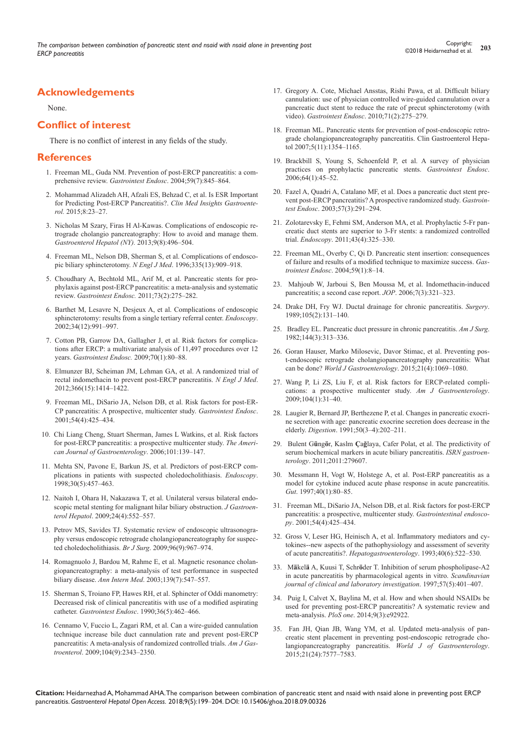# **Acknowledgements**

None.

# **Conflict of interest**

There is no conflict of interest in any fields of the study.

#### **References**

- 1. [Freeman ML, Guda NM. Prevention of post-ERCP pancreatitis: a com](https://www.ncbi.nlm.nih.gov/pubmed/15173799)prehensive review. *Gastrointest Endosc*. 2004;59(7):845-864.
- 2. [Mohammad Alizadeh AH, Afzali ES, Behzad C, et al. Is ESR Important](https://www.ncbi.nlm.nih.gov/pubmed/26005364/)  [for Predicting Post-ERCP Pancreatitis?.](https://www.ncbi.nlm.nih.gov/pubmed/26005364/) *Clin Med Insights Gastroenterol.* [2015;8:23‒27.](https://www.ncbi.nlm.nih.gov/pubmed/26005364/)
- 3. [Nicholas M Szary, Firas H Al-Kawas. Complications of endoscopic re](https://www.ncbi.nlm.nih.gov/pubmed/24719597/)[trograde cholangio pancreatography: How to avoid and manage them.](https://www.ncbi.nlm.nih.gov/pubmed/24719597/)  *[Gastroenterol Hepatol \(NY\).](https://www.ncbi.nlm.nih.gov/pubmed/24719597/)* 2013;9(8):496‒504.
- 4. [Freeman ML, Nelson DB, Sherman S, et al. Complications of endosco](https://www.ncbi.nlm.nih.gov/pubmed/8782497)[pic biliary sphincterotomy.](https://www.ncbi.nlm.nih.gov/pubmed/8782497) *N Engl J Med.* 1996;335(13):909-918.
- 5. [Choudhary A, Bechtold ML, Arif M, et al. Pancreatic stents for pro](https://www.ncbi.nlm.nih.gov/pubmed/21295641)[phylaxis against post-ERCP pancreatitis: a meta-analysis and systematic](https://www.ncbi.nlm.nih.gov/pubmed/21295641)  review. *Gastrointest Endosc.* 2011;73(2):275-282.
- 6. [Barthet M, Lesavre N, Desjeux A, et al. Complications of endoscopic](https://www.ncbi.nlm.nih.gov/pubmed/12471544)  [sphincterotomy: results from a single tertiary referral center.](https://www.ncbi.nlm.nih.gov/pubmed/12471544) *Endoscopy*. [2002;34\(12\):991‒997.](https://www.ncbi.nlm.nih.gov/pubmed/12471544)
- 7. [Cotton PB, Garrow DA, Gallagher J, et al. Risk factors for complica](https://www.ncbi.nlm.nih.gov/pubmed/19286178)[tions after ERCP: a multivariate analysis of 11,497 procedures over 12](https://www.ncbi.nlm.nih.gov/pubmed/19286178)  years. *[Gastrointest Endosc.](https://www.ncbi.nlm.nih.gov/pubmed/19286178)* 2009;70(1):80‒88.
- 8. [Elmunzer BJ, Scheiman JM, Lehman GA, et al. A randomized trial of](https://www.ncbi.nlm.nih.gov/pubmed/22494121)  [rectal indomethacin to prevent post-ERCP pancreatitis.](https://www.ncbi.nlm.nih.gov/pubmed/22494121) *N Engl J Med*. [2012;366\(15\):1414‒1422.](https://www.ncbi.nlm.nih.gov/pubmed/22494121)
- 9. [Freeman ML, DiSario JA, Nelson DB, et al. Risk factors for post-ER-](https://www.ncbi.nlm.nih.gov/pubmed/11577302)[CP pancreatitis: A prospective, multicenter study.](https://www.ncbi.nlm.nih.gov/pubmed/11577302) *Gastrointest Endosc*. [2001;54\(4\):425‒434.](https://www.ncbi.nlm.nih.gov/pubmed/11577302)
- 10. [Chi Liang Cheng, Stuart Sherman, James L Watkins, et al. Risk factors](http://www.nature.com/ajg/journal/v101/n1/full/ajg200626a.html?foxtrotcallback=true)  [for post-ERCP pancreatitis: a prospective multicenter study.](http://www.nature.com/ajg/journal/v101/n1/full/ajg200626a.html?foxtrotcallback=true) *The Ameri*[can Journal of Gastroenterology](http://www.nature.com/ajg/journal/v101/n1/full/ajg200626a.html?foxtrotcallback=true). 2006;101:139-147.
- 11. [Mehta SN, Pavone E, Barkun JS, et al. Predictors of post-ERCP com](https://www.ncbi.nlm.nih.gov/pubmed/9693893)[plications in patients with suspected choledocholithiasis.](https://www.ncbi.nlm.nih.gov/pubmed/9693893) *Endoscopy*. [1998;30\(5\):457‒463.](https://www.ncbi.nlm.nih.gov/pubmed/9693893)
- 12. [Naitoh I, Ohara H, Nakazawa T, et al. Unilateral versus bilateral endo](https://www.ncbi.nlm.nih.gov/pubmed/19220678)[scopic metal stenting for malignant hilar biliary obstruction.](https://www.ncbi.nlm.nih.gov/pubmed/19220678) *J Gastroenterol Hepatol*[. 2009;24\(4\):552‒557.](https://www.ncbi.nlm.nih.gov/pubmed/19220678)
- 13. [Petrov MS, Savides TJ. Systematic review of endoscopic ultrasonogra](https://www.ncbi.nlm.nih.gov/pubmed/19644975)[phy versus endoscopic retrograde cholangiopancreatography for suspec](https://www.ncbi.nlm.nih.gov/pubmed/19644975)[ted choledocholithiasis.](https://www.ncbi.nlm.nih.gov/pubmed/19644975) *Br J Surg*. 2009;96(9):967‒974.
- 14. [Romagnuolo J, Bardou M, Rahme E, et al. Magnetic resonance cholan](https://www.ncbi.nlm.nih.gov/pubmed/14530225)[giopancreatography: a meta-analysis of test performance in suspected](https://www.ncbi.nlm.nih.gov/pubmed/14530225)  biliary disease. *Ann Intern Med.* 2003;139(7):547–557.
- 15. [Sherman S, Troiano FP, Hawes RH, et al. Sphincter of Oddi manometry:](https://www.ncbi.nlm.nih.gov/pubmed/1699837)  [Decreased risk of clinical pancreatitis with use of a modified aspirating](https://www.ncbi.nlm.nih.gov/pubmed/1699837)  catheter. *Gastrointest Endosc*[. 1990;36\(5\):462‒466.](https://www.ncbi.nlm.nih.gov/pubmed/1699837)
- 16. [Cennamo V, Fuccio L, Zagari RM, et al. Can a wire-guided cannulation](https://www.ncbi.nlm.nih.gov/pubmed/19532133)  [technique increase bile duct cannulation rate and prevent post-ERCP](https://www.ncbi.nlm.nih.gov/pubmed/19532133)  [pancreatitis: A meta-analysis of randomized controlled trials.](https://www.ncbi.nlm.nih.gov/pubmed/19532133) *Am J Gastroenterol*[. 2009;104\(9\):2343‒2350.](https://www.ncbi.nlm.nih.gov/pubmed/19532133)
- 17. [Gregory A. Cote, Michael Ansstas, Rishi Pawa, et al. Difficult biliary](http://www.giejournal.org/article/S0016-5107(09)02428-6/abstract)  [cannulation: use of physician controlled wire-guided cannulation over a](http://www.giejournal.org/article/S0016-5107(09)02428-6/abstract)  [pancreatic duct stent to reduce the rate of precut sphincterotomy \(with](http://www.giejournal.org/article/S0016-5107(09)02428-6/abstract)  video). *Gastrointest Endosc*. 2010;71(2):275-279.
- 18. [Freeman ML. Pancreatic stents for prevention of post-endoscopic retro](https://www.ncbi.nlm.nih.gov/pubmed/17981248)[grade cholangiopancreatography pancreatitis. Clin Gastroenterol Hepa](https://www.ncbi.nlm.nih.gov/pubmed/17981248)tol 2007;5(11):1354-1165.
- 19. [Brackbill S, Young S, Schoenfeld P, et al. A survey of physician](https://www.ncbi.nlm.nih.gov/pubmed/16813802)  [practices on prophylactic pancreatic stents.](https://www.ncbi.nlm.nih.gov/pubmed/16813802) *Gastrointest Endosc*. [2006;64\(1\):45‒52.](https://www.ncbi.nlm.nih.gov/pubmed/16813802)
- 20. [Fazel A, Quadri A, Catalano MF, et al. Does a pancreatic duct stent pre](https://www.ncbi.nlm.nih.gov/pubmed/12612504)[vent post-ERCP pancreatitis? A prospective randomized study.](https://www.ncbi.nlm.nih.gov/pubmed/12612504) *Gastrointest Endosc*[. 2003;57\(3\):291‒294.](https://www.ncbi.nlm.nih.gov/pubmed/12612504)
- 21. [Zolotarevsky E, Fehmi SM, Anderson MA, et al. Prophylactic 5-Fr pan](https://www.ncbi.nlm.nih.gov/pubmed/21455872/)[creatic duct stents are superior to 3-Fr stents: a randomized controlled](https://www.ncbi.nlm.nih.gov/pubmed/21455872/)  trial. *Endoscopy*[. 2011;43\(4\):325‒330.](https://www.ncbi.nlm.nih.gov/pubmed/21455872/)
- 22. [Freeman ML, Overby C, Qi D. Pancreatic stent insertion: consequences](https://www.ncbi.nlm.nih.gov/pubmed/14722540)  [of failure and results of a modified technique to maximize success.](https://www.ncbi.nlm.nih.gov/pubmed/14722540) *Gastrointest Endosc*[. 2004;59\(1\):8‒14.](https://www.ncbi.nlm.nih.gov/pubmed/14722540)
- 23. [Mahjoub W, Jarboui S, Ben Moussa M, et al. Indomethacin-induced](https://www.ncbi.nlm.nih.gov/pubmed/16685115)  [pancreatitis; a second case report.](https://www.ncbi.nlm.nih.gov/pubmed/16685115) *JOP*. 2006;7(3):321-323.
- 24. [Drake DH, Fry WJ. Ductal drainage for chronic pancreatitis.](https://www.ncbi.nlm.nih.gov/pubmed/2916177) *Surgery*. [1989;105\(2\):131‒140.](https://www.ncbi.nlm.nih.gov/pubmed/2916177)
- 25. [Bradley EL. Pancreatic duct pressure in chronic pancreatitis.](https://www.ncbi.nlm.nih.gov/pubmed/7114368) *Am J Surg*. [1982;144\(3\):313‒336.](https://www.ncbi.nlm.nih.gov/pubmed/7114368)
- 26. [Goran Hauser, Marko Milosevic, Davor Stimac, et al. Preventing pos](https://www.ncbi.nlm.nih.gov/pmc/articles/PMC4306150/)[t-endoscopic retrograde cholangiopancreatography pancreatitis: What](https://www.ncbi.nlm.nih.gov/pmc/articles/PMC4306150/)  can be done? *[World J Gastroenterology](https://www.ncbi.nlm.nih.gov/pmc/articles/PMC4306150/)*. 2015;21(4):1069-1080.
- 27. [Wang P, Li ZS, Liu F, et al. Risk factors for ERCP-related compli](https://www.ncbi.nlm.nih.gov/pubmed/19098846)[cations: a prospective multicenter study.](https://www.ncbi.nlm.nih.gov/pubmed/19098846) *Am J Gastroenterology*. [2009;104\(1\):31‒40.](https://www.ncbi.nlm.nih.gov/pubmed/19098846)
- 28. [Laugier R, Bernard JP, Berthezene P, et al. Changes in pancreatic exocri](https://www.ncbi.nlm.nih.gov/pubmed/1812045)[ne secretion with age: pancreatic exocrine secretion does decrease in the](https://www.ncbi.nlm.nih.gov/pubmed/1812045)  elderly. *Digestion*[. 1991;50\(3‒4\):202‒211.](https://www.ncbi.nlm.nih.gov/pubmed/1812045)
- 29. Bulent G**ü**ng**ö**r, Kaslm **Ç**a**ğ**[laya, Cafer Polat, et al. The predictivity of](https://www.ncbi.nlm.nih.gov/pubmed/21991501/)  [serum biochemical markers in acute biliary pancreatitis.](https://www.ncbi.nlm.nih.gov/pubmed/21991501/) *ISRN gastroenterology*[. 2011;2011:279607.](https://www.ncbi.nlm.nih.gov/pubmed/21991501/)
- 30. [Messmann H, Vogt W, Holstege A, et al. Post-ERP pancreatitis as a](https://www.ncbi.nlm.nih.gov/pubmed/9155580)  [model for cytokine induced acute phase response in acute pancreatitis.](https://www.ncbi.nlm.nih.gov/pubmed/9155580)  *Gut*[. 1997;40\(1\):80‒85.](https://www.ncbi.nlm.nih.gov/pubmed/9155580)
- 31. [Freeman ML, DiSario JA, Nelson DB, et al. Risk factors for post-ERCP](https://www.ncbi.nlm.nih.gov/pubmed/11577302)  [pancreatitis: a prospective, multicenter study.](https://www.ncbi.nlm.nih.gov/pubmed/11577302) *Gastrointestinal endoscopy*[. 2001;54\(4\):425‒434.](https://www.ncbi.nlm.nih.gov/pubmed/11577302)
- 32. [Gross V, Leser HG, Heinisch A, et al. Inflammatory mediators and cy](https://www.ncbi.nlm.nih.gov/pubmed/7509768)[tokines--new aspects of the pathophysiology and assessment of severity](https://www.ncbi.nlm.nih.gov/pubmed/7509768)  of acute pancreatitis?. *[Hepatogastroenterology](https://www.ncbi.nlm.nih.gov/pubmed/7509768)*. 1993;40(6):522‒530.
- 33. M**ä**kel**ä** A, Kuusi T, Schr**ö**[der T. Inhibition of serum phospholipase-A2](http://www.tandfonline.com/doi/abs/10.3109/00365519709084587)  [in acute pancreatitis by pharmacological agents in vitro.](http://www.tandfonline.com/doi/abs/10.3109/00365519709084587) *Scandinavian [journal of clinical and laboratory investigation](http://www.tandfonline.com/doi/abs/10.3109/00365519709084587)*. 1997;57(5):401‒407.
- 34. [Puig I, Calvet X, Baylina M, et al. How and when should NSAIDs be](https://www.ncbi.nlm.nih.gov/pubmed/24675922)  [used for preventing post-ERCP pancreatitis? A systematic review and](https://www.ncbi.nlm.nih.gov/pubmed/24675922)  meta-analysis. *PloS one*[. 2014;9\(3\):e92922.](https://www.ncbi.nlm.nih.gov/pubmed/24675922)
- 35. [Fan JH, Qian JB, Wang YM, et al. Updated meta-analysis of pan](https://www.ncbi.nlm.nih.gov/pubmed/26140006/)[creatic stent placement in preventing post-endoscopic retrograde cho](https://www.ncbi.nlm.nih.gov/pubmed/26140006/)[langiopancreatography pancreatitis.](https://www.ncbi.nlm.nih.gov/pubmed/26140006/) *World J of Gastroenterology*. [2015;21\(24\):7577‒7583.](https://www.ncbi.nlm.nih.gov/pubmed/26140006/)